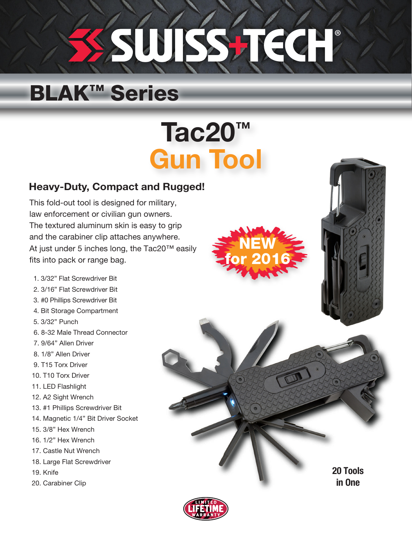# ® SUJSSTIEG

## BLAK™ Series

## Tac20™ Gun Tool

### Heavy-Duty, Compact and Rugged!

This fold-out tool is designed for military, law enforcement or civilian gun owners. The textured aluminum skin is easy to grip and the carabiner clip attaches anywhere. At just under 5 inches long, the Tac20™ easily fits into pack or range bag.

- 1. 3/32" Flat Screwdriver Bit
- 2. 3/16" Flat Screwdriver Bit
- 3. #0 Phillips Screwdriver Bit
- 4. Bit Storage Compartment
- 5. 3/32" Punch
- 6. 8-32 Male Thread Connector
- 7. 9/64" Allen Driver
- 8. 1/8" Allen Driver
- 9. T15 Torx Driver
- 10. T10 Torx Driver
- 11. LED Flashlight
- 12. A2 Sight Wrench
- 13. #1 Phillips Screwdriver Bit
- 14. Magnetic 1/4" Bit Driver Socket
- 15. 3/8" Hex Wrench
- 16. 1/2" Hex Wrench
- 17. Castle Nut Wrench
- 18. Large Flat Screwdriver
- 19. Knife
- 20. Carabiner Clip





20 Tools in One